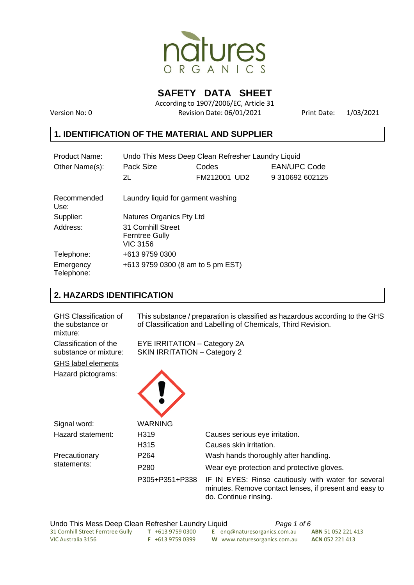

**SAFETY DATA SHEET** 

According to 1907/2006/EC, Article 31 Version No: 0 Revision Date: 06/01/2021 Print Date: 1/03/2021

### **1. IDENTIFICATION OF THE MATERIAL AND SUPPLIER**

| Product Name:           | Undo This Mess Deep Clean Refresher Laundry Liquid             |              |                     |  |  |
|-------------------------|----------------------------------------------------------------|--------------|---------------------|--|--|
| Other Name(s):          | Pack Size                                                      | Codes        | <b>EAN/UPC Code</b> |  |  |
|                         | 2L                                                             | FM212001 UD2 | 9 310692 602125     |  |  |
| Recommended<br>Use:     | Laundry liquid for garment washing                             |              |                     |  |  |
| Supplier:               | Natures Organics Pty Ltd                                       |              |                     |  |  |
| Address:                | 31 Cornhill Street<br><b>Ferntree Gully</b><br><b>VIC 3156</b> |              |                     |  |  |
| Telephone:              | +613 9759 0300                                                 |              |                     |  |  |
| Emergency<br>Telephone: | +613 9759 0300 (8 am to 5 pm EST)                              |              |                     |  |  |

### **2. HAZARDS IDENTIFICATION**

| <b>GHS Classification of</b><br>the substance or<br>mixture: | This substance / preparation is classified as hazardous according to the GHS<br>of Classification and Labelling of Chemicals, Third Revision. |                                                                                                                                        |  |
|--------------------------------------------------------------|-----------------------------------------------------------------------------------------------------------------------------------------------|----------------------------------------------------------------------------------------------------------------------------------------|--|
| Classification of the<br>substance or mixture:               | EYE IRRITATION - Category 2A<br><b>SKIN IRRITATION - Category 2</b>                                                                           |                                                                                                                                        |  |
| GHS label elements                                           |                                                                                                                                               |                                                                                                                                        |  |
| Hazard pictograms:                                           |                                                                                                                                               |                                                                                                                                        |  |
| Signal word:                                                 | <b>WARNING</b>                                                                                                                                |                                                                                                                                        |  |
| Hazard statement:                                            | H319                                                                                                                                          | Causes serious eye irritation.                                                                                                         |  |
|                                                              | H315                                                                                                                                          | Causes skin irritation.                                                                                                                |  |
| Precautionary                                                | P <sub>264</sub>                                                                                                                              | Wash hands thoroughly after handling.                                                                                                  |  |
| statements:                                                  | P <sub>280</sub>                                                                                                                              | Wear eye protection and protective gloves.                                                                                             |  |
|                                                              | P305+P351+P338                                                                                                                                | IF IN EYES: Rinse cautiously with water for several<br>minutes. Remove contact lenses, if present and easy to<br>do. Continue rinsing. |  |

Undo This Mess Deep Clean Refresher Laundry Liquid *Page 1 of 6* 31 Cornhill Street Ferntree Gully **T** +613 9759 0300 **E** enq@naturesorganics.com.au **ABN** 51 052 221 413 W www.naturesorganics.com.au **ACN** 052 221 413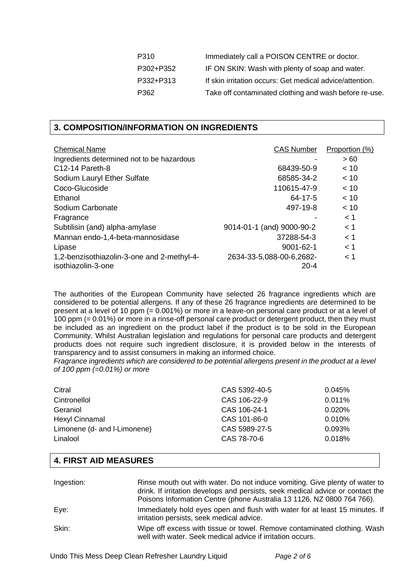| P310      | Immediately call a POISON CENTRE or doctor.              |
|-----------|----------------------------------------------------------|
| P302+P352 | IF ON SKIN: Wash with plenty of soap and water.          |
| P332+P313 | If skin irritation occurs: Get medical advice/attention. |
| P362      | Take off contaminated clothing and wash before re-use.   |

#### **3. COMPOSITION/INFORMATION ON INGREDIENTS**

| <b>Chemical Name</b>                                             | <b>CAS Number</b>                    | Proportion (%) |
|------------------------------------------------------------------|--------------------------------------|----------------|
| Ingredients determined not to be hazardous                       |                                      | >60            |
| C <sub>12</sub> -14 Pareth-8                                     | 68439-50-9                           | < 10           |
| Sodium Lauryl Ether Sulfate                                      | 68585-34-2                           | < 10           |
| Coco-Glucoside                                                   | 110615-47-9                          | < 10           |
| Ethanol                                                          | $64 - 17 - 5$                        | ~< 10          |
| Sodium Carbonate                                                 | 497-19-8                             | ~< 10          |
| Fragrance                                                        |                                      | < 1            |
| Subtilisin (and) alpha-amylase                                   | 9014-01-1 (and) 9000-90-2            | < 1            |
| Mannan endo-1,4-beta-mannosidase                                 | 37288-54-3                           | < 1            |
| Lipase                                                           | $9001 - 62 - 1$                      | < 1            |
| 1,2-benzisothiazolin-3-one and 2-methyl-4-<br>isothiazolin-3-one | 2634-33-5,088-00-6,2682-<br>$20 - 4$ | < 1            |

The authorities of the European Community have selected 26 fragrance ingredients which are considered to be potential allergens. If any of these 26 fragrance ingredients are determined to be present at a level of 10 ppm (= 0.001%) or more in a leave-on personal care product or at a level of 100 ppm (= 0.01%) or more in a rinse-off personal care product or detergent product, then they must be included as an ingredient on the product label if the product is to be sold in the European Community. Whilst Australian legislation and regulations for personal care products and detergent products does not require such ingredient disclosure, it is provided below in the interests of transparency and to assist consumers in making an informed choice.

*Fragrance ingredients which are considered to be potential allergens present in the product at a level of 100 ppm (=0.01%) or more*

| Citral                       | CAS 5392-40-5 | 0.045%    |
|------------------------------|---------------|-----------|
| Cintronellol                 | CAS 106-22-9  | 0.011%    |
| Geraniol                     | CAS 106-24-1  | $0.020\%$ |
| Hexyl Cinnamal               | CAS 101-86-0  | $0.010\%$ |
| Limonene (d- and I-Limonene) | CAS 5989-27-5 | 0.093%    |
| Linalool                     | CAS 78-70-6   | 0.018%    |

#### **4. FIRST AID MEASURES**

| Ingestion: | Rinse mouth out with water. Do not induce vomiting. Give plenty of water to<br>drink. If irritation develops and persists, seek medical advice or contact the<br>Poisons Information Centre (phone Australia 13 1126, NZ 0800 764 766). |
|------------|-----------------------------------------------------------------------------------------------------------------------------------------------------------------------------------------------------------------------------------------|
| Eye:       | Immediately hold eyes open and flush with water for at least 15 minutes. If<br>irritation persists, seek medical advice.                                                                                                                |
| Skin:      | Wipe off excess with tissue or towel. Remove contaminated clothing. Wash<br>well with water. Seek medical advice if irritation occurs.                                                                                                  |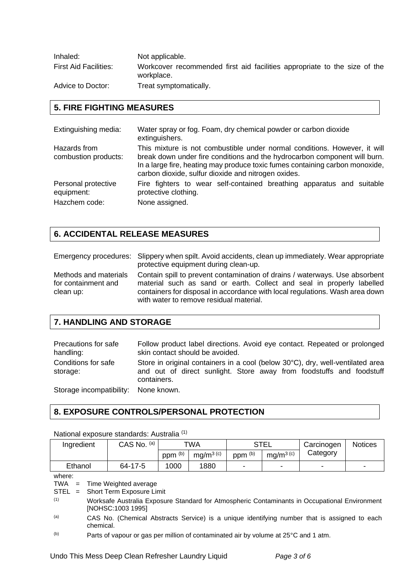| Inhaled:                     | Not applicable.                                                                         |
|------------------------------|-----------------------------------------------------------------------------------------|
| <b>First Aid Facilities:</b> | Workcover recommended first aid facilities appropriate to the size of the<br>workplace. |
| Advice to Doctor:            | Treat symptomatically.                                                                  |

# **5. FIRE FIGHTING MEASURES**

| Extinguishing media:                               | Water spray or fog. Foam, dry chemical powder or carbon dioxide<br>extinguishers.                                                                                                                                                                                                             |
|----------------------------------------------------|-----------------------------------------------------------------------------------------------------------------------------------------------------------------------------------------------------------------------------------------------------------------------------------------------|
| Hazards from<br>combustion products:               | This mixture is not combustible under normal conditions. However, it will<br>break down under fire conditions and the hydrocarbon component will burn.<br>In a large fire, heating may produce toxic fumes containing carbon monoxide,<br>carbon dioxide, sulfur dioxide and nitrogen oxides. |
| Personal protective<br>equipment:<br>Hazchem code: | Fire fighters to wear self-contained breathing apparatus and suitable<br>protective clothing.<br>None assigned.                                                                                                                                                                               |

## **6. ACCIDENTAL RELEASE MEASURES**

|                                                           | Emergency procedures: Slippery when spilt. Avoid accidents, clean up immediately. Wear appropriate<br>protective equipment during clean-up.                                                                                                                                     |
|-----------------------------------------------------------|---------------------------------------------------------------------------------------------------------------------------------------------------------------------------------------------------------------------------------------------------------------------------------|
| Methods and materials<br>for containment and<br>clean up: | Contain spill to prevent contamination of drains / waterways. Use absorbent<br>material such as sand or earth. Collect and seal in properly labelled<br>containers for disposal in accordance with local regulations. Wash area down<br>with water to remove residual material. |

## **7. HANDLING AND STORAGE**

| Precautions for safe<br>handling:    | Follow product label directions. Avoid eye contact. Repeated or prolonged<br>skin contact should be avoided.                                                          |
|--------------------------------------|-----------------------------------------------------------------------------------------------------------------------------------------------------------------------|
| Conditions for safe<br>storage:      | Store in original containers in a cool (below 30°C), dry, well-ventilated area<br>and out of direct sunlight. Store away from foodstuffs and foodstuff<br>containers. |
| Storage incompatibility: None known. |                                                                                                                                                                       |

### **8. EXPOSURE CONTROLS/PERSONAL PROTECTION**

| Ingredient                                 |                                                                                                                                                                          | CAS No. (a) | TWA                |                       | <b>STEL</b>        |                       | Carcinogen | <b>Notices</b> |
|--------------------------------------------|--------------------------------------------------------------------------------------------------------------------------------------------------------------------------|-------------|--------------------|-----------------------|--------------------|-----------------------|------------|----------------|
|                                            |                                                                                                                                                                          |             | ppm <sup>(b)</sup> | mg/m <sup>3 (c)</sup> | ppm <sup>(b)</sup> | mg/m <sup>3 (c)</sup> | Category   |                |
| Ethanol                                    |                                                                                                                                                                          | 64-17-5     | 1000               | 1880                  |                    |                       |            |                |
| where:<br>TWA<br>$=$<br>STEL<br>$=$<br>(1) | Time Weighted average<br>Short Term Exposure Limit<br>Worksafe Australia Exposure Standard for Atmospheric Contaminants in Occupational Environment<br>[NOHSC:1003 1995] |             |                    |                       |                    |                       |            |                |
| (a)                                        | CAS No. (Chemical Abstracts Service) is a unique identifying number that is assigned to each<br>chemical.                                                                |             |                    |                       |                    |                       |            |                |
| (b)                                        | Parts of vapour or gas per million of contaminated air by volume at 25°C and 1 atm.                                                                                      |             |                    |                       |                    |                       |            |                |

#### National exposure standards: Australia<sup>(1)</sup>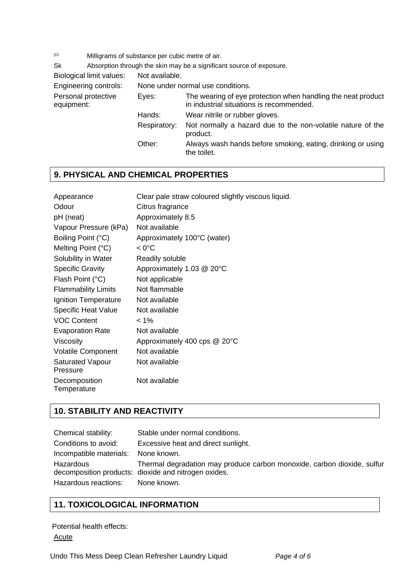(c) Milligrams of substance per cubic metre of air.

Sk Absorption through the skin may be a significant source of exposure.<br>
Piclogical limit values: Net available

Biological limit values: Not a Engineering control Personal protective equipment:

| ues: | Not available.                    |                                                                                                          |  |  |
|------|-----------------------------------|----------------------------------------------------------------------------------------------------------|--|--|
| ols: | None under normal use conditions. |                                                                                                          |  |  |
| e    | Eyes:                             | The wearing of eye protection when handling the neat product<br>in industrial situations is recommended. |  |  |
|      | Hands:                            | Wear nitrile or rubber gloves.                                                                           |  |  |
|      | Respiratory:                      | Not normally a hazard due to the non-volatile nature of the<br>product.                                  |  |  |
|      | Other:                            | Always wash hands before smoking, eating, drinking or using<br>the toilet.                               |  |  |
|      |                                   |                                                                                                          |  |  |

#### **9. PHYSICAL AND CHEMICAL PROPERTIES**

| Appearance                          | Clear pale straw coloured slightly viscous liquid. |
|-------------------------------------|----------------------------------------------------|
| Odour                               | Citrus fragrance                                   |
| pH (neat)                           | Approximately 8.5                                  |
| Vapour Pressure (kPa)               | Not available                                      |
| Boiling Point (°C)                  | Approximately 100°C (water)                        |
| Melting Point $(^{\circ}C)$         | $< 0^{\circ}$ C                                    |
| Solubility in Water                 | Readily soluble                                    |
| <b>Specific Gravity</b>             | Approximately 1.03 @ 20°C                          |
| Flash Point (°C)                    | Not applicable                                     |
| <b>Flammability Limits</b>          | Not flammable                                      |
| Ignition Temperature                | Not available                                      |
| <b>Specific Heat Value</b>          | Not available                                      |
| <b>VOC Content</b>                  | $< 1\%$                                            |
| <b>Evaporation Rate</b>             | Not available                                      |
| Viscosity                           | Approximately 400 cps @ 20°C                       |
| <b>Volatile Component</b>           | Not available                                      |
| <b>Saturated Vapour</b><br>Pressure | Not available                                      |
| Decomposition<br>Temperature        | Not available                                      |

# **10. STABILITY AND REACTIVITY**

| Chemical stability:                 | Stable under normal conditions.                                                                                                                |
|-------------------------------------|------------------------------------------------------------------------------------------------------------------------------------------------|
| Conditions to avoid:                | Excessive heat and direct sunlight.                                                                                                            |
| Incompatible materials: None known. |                                                                                                                                                |
| Hazardous<br>Hazardous reactions:   | Thermal degradation may produce carbon monoxide, carbon dioxide, sulfur<br>decomposition products: dioxide and nitrogen oxides.<br>None known. |

### **11. TOXICOLOGICAL INFORMATION**

Potential health effects: **Acute**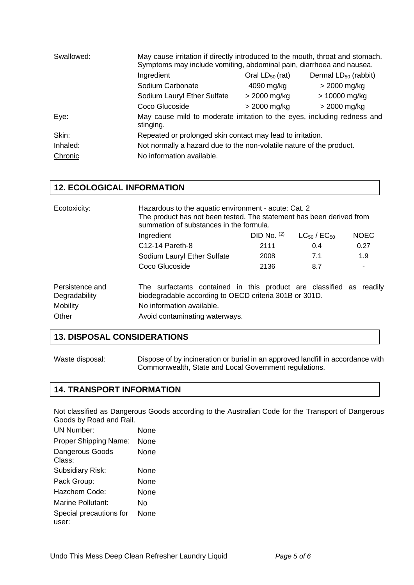| Swallowed: | May cause irritation if directly introduced to the mouth, throat and stomach.<br>Symptoms may include vomiting, abdominal pain, diarrhoea and nausea. |                      |                                  |
|------------|-------------------------------------------------------------------------------------------------------------------------------------------------------|----------------------|----------------------------------|
|            | Ingredient                                                                                                                                            | Oral $LD_{50}$ (rat) | Dermal LD <sub>50</sub> (rabbit) |
|            | Sodium Carbonate                                                                                                                                      | 4090 mg/kg           | $>$ 2000 mg/kg                   |
|            | Sodium Lauryl Ether Sulfate                                                                                                                           | $>$ 2000 mg/kg       | > 10000 mg/kg                    |
|            | Coco Glucoside                                                                                                                                        | $>$ 2000 mg/kg       | $>$ 2000 mg/kg                   |
| Eye:       | May cause mild to moderate irritation to the eyes, including redness and<br>stinging.                                                                 |                      |                                  |
| Skin:      | Repeated or prolonged skin contact may lead to irritation.                                                                                            |                      |                                  |
| Inhaled:   | Not normally a hazard due to the non-volatile nature of the product.                                                                                  |                      |                                  |
| Chronic    | No information available.                                                                                                                             |                      |                                  |

### **12. ECOLOGICAL INFORMATION**

| Ecotoxicity:                                                 | Hazardous to the aquatic environment - acute: Cat. 2<br>The product has not been tested. The statement has been derived from<br>summation of substances in the formula.                      |               |                       |             |
|--------------------------------------------------------------|----------------------------------------------------------------------------------------------------------------------------------------------------------------------------------------------|---------------|-----------------------|-------------|
|                                                              | Ingredient                                                                                                                                                                                   | DID No. $(2)$ | $LC_{50}$ / $EC_{50}$ | <b>NOEC</b> |
|                                                              | C <sub>12</sub> -14 Pareth-8                                                                                                                                                                 | 2111          | 0.4                   | 0.27        |
|                                                              | Sodium Lauryl Ether Sulfate                                                                                                                                                                  | 2008          | 7.1                   | 1.9         |
|                                                              | Coco Glucoside                                                                                                                                                                               | 2136          | 8.7                   |             |
| Persistence and<br>Degradability<br><b>Mobility</b><br>Other | The surfactants contained in this product are classified as readily<br>biodegradable according to OECD criteria 301B or 301D.<br>No information available.<br>Avoid contaminating waterways. |               |                       |             |

#### **13. DISPOSAL CONSIDERATIONS**

Waste disposal: Dispose of by incineration or burial in an approved landfill in accordance with Commonwealth, State and Local Government regulations.

### **14. TRANSPORT INFORMATION**

Not classified as Dangerous Goods according to the Australian Code for the Transport of Dangerous Goods by Road and Rail.

| UN Number:                       | None |
|----------------------------------|------|
| Proper Shipping Name:            | None |
| Dangerous Goods<br>Class:        | None |
| <b>Subsidiary Risk:</b>          | None |
| Pack Group:                      | None |
| Hazchem Code:                    | None |
| Marine Pollutant:                | N٥   |
| Special precautions for<br>user: | None |
|                                  |      |